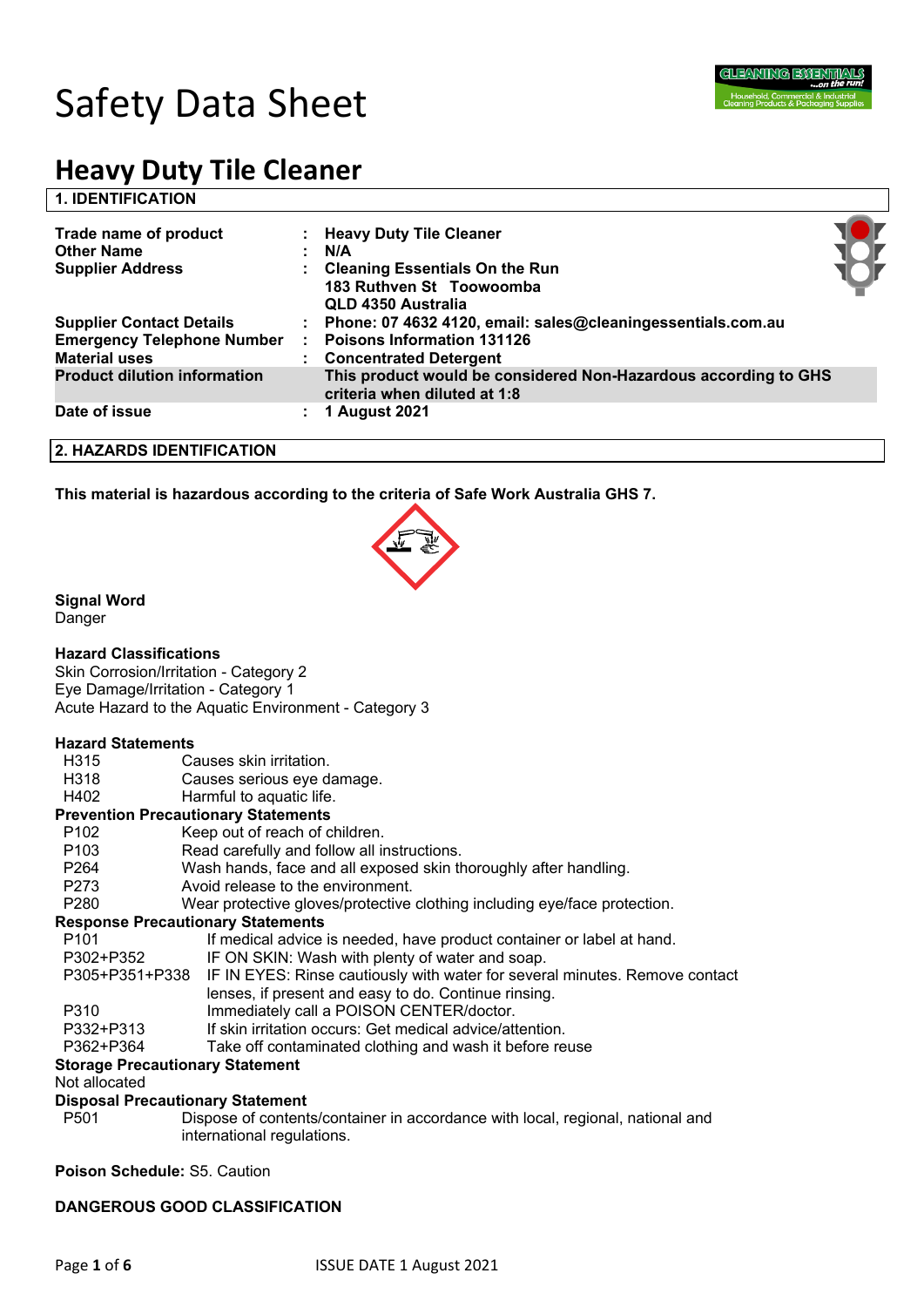

## **1. IDENTIFICATION**

| Trade name of product<br><b>Other Name</b><br><b>Supplier Address</b>                        | : Heavy Duty Tile Cleaner<br>N/A<br><b>Cleaning Essentials On the Run</b><br>183 Ruthven St Toowoomba<br>QLD 4350 Australia         |  |
|----------------------------------------------------------------------------------------------|-------------------------------------------------------------------------------------------------------------------------------------|--|
| <b>Supplier Contact Details</b><br><b>Emergency Telephone Number</b><br><b>Material uses</b> | : Phone: 07 4632 4120, email: sales@cleaningessentials.com.au<br><b>Poisons Information 131126</b><br><b>Concentrated Detergent</b> |  |
| <b>Product dilution information</b>                                                          | This product would be considered Non-Hazardous according to GHS<br>criteria when diluted at 1:8                                     |  |
| Date of issue                                                                                | 1 August 2021                                                                                                                       |  |

### **2. HAZARDS IDENTIFICATION**

**This material is hazardous according to the criteria of Safe Work Australia GHS 7.**



## **Signal Word**

Danger

## **Hazard Classifications**

Skin Corrosion/Irritation - Category 2 Eye Damage/Irritation - Category 1 Acute Hazard to the Aquatic Environment - Category 3

#### **Hazard Statements**

- H315 Causes skin irritation.
- H318 Causes serious eye damage.
- H402 Harmful to aquatic life.

#### **Prevention Precautionary Statements**

- P102 Keep out of reach of children.
- P103 Read carefully and follow all instructions.
- P264 Wash hands, face and all exposed skin thoroughly after handling.
- P273 Avoid release to the environment.
- P280 Wear protective gloves/protective clothing including eye/face protection.

#### **Response Precautionary Statements**

| P <sub>101</sub> | If medical advice is needed, have product container or label at hand.                      |
|------------------|--------------------------------------------------------------------------------------------|
| P302+P352        | IF ON SKIN: Wash with plenty of water and soap.                                            |
|                  | P305+P351+P338 IF IN EYES: Rinse cautiously with water for several minutes. Remove contact |
|                  | lenses, if present and easy to do. Continue rinsing.                                       |
| P310             | Immediately call a POISON CENTER/doctor.                                                   |
| P332+P313        | If skin irritation occurs: Get medical advice/attention.                                   |
| P362+P364        | Take off contaminated clothing and wash it before reuse                                    |

## **Storage Precautionary Statement**

#### Not allocated

## **Disposal Precautionary Statement**

P501 Dispose of contents/container in accordance with local, regional, national and international regulations.

**Poison Schedule:** S5. Caution

## **DANGEROUS GOOD CLASSIFICATION**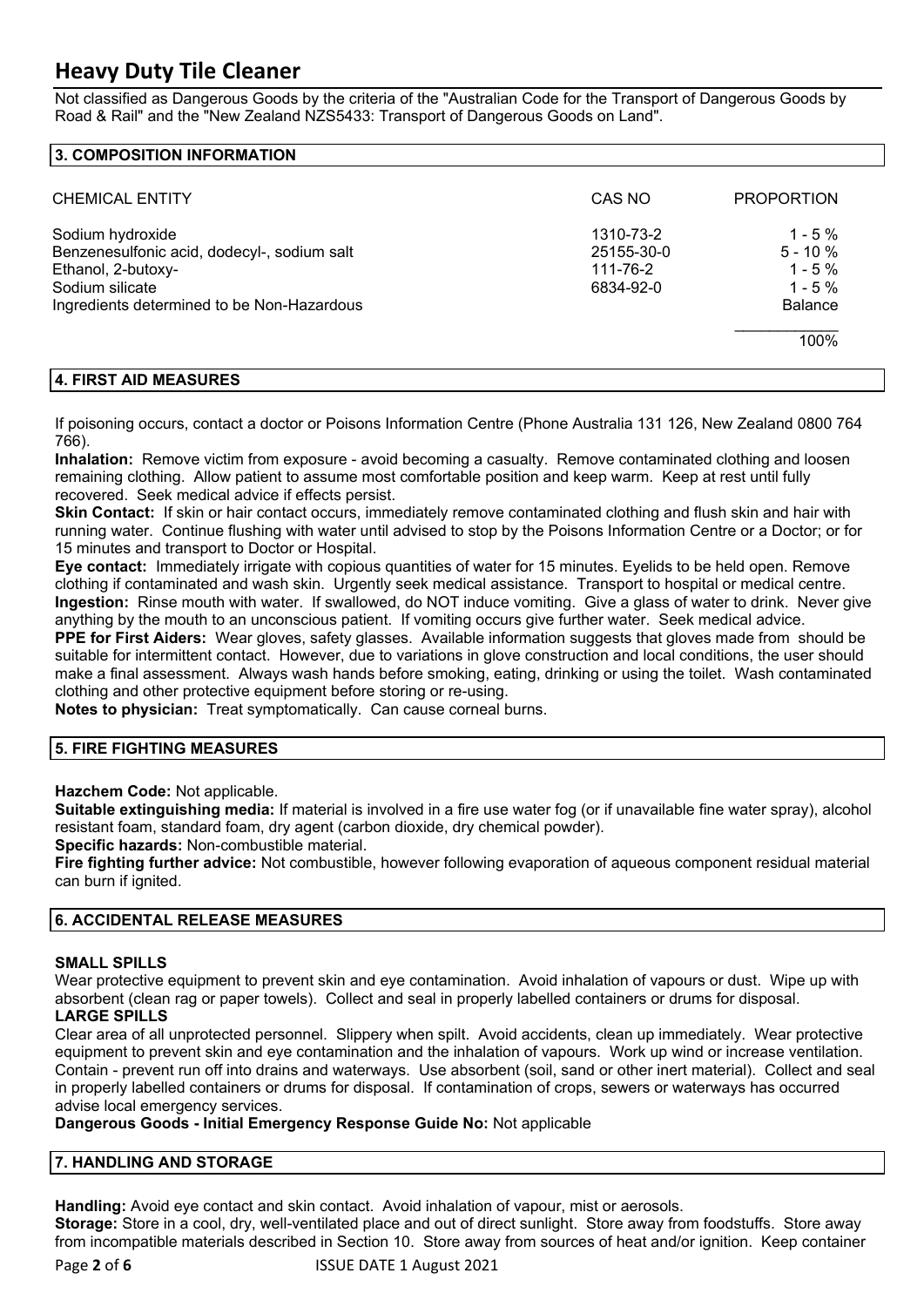Not classified as Dangerous Goods by the criteria of the "Australian Code for the Transport of Dangerous Goods by Road & Rail" and the "New Zealand NZS5433: Transport of Dangerous Goods on Land".

## **3. COMPOSITION INFORMATION**

| <b>CHEMICAL ENTITY</b>                                                                                                                                 | CAS NO                                           | <b>PROPORTION</b>                                                            |
|--------------------------------------------------------------------------------------------------------------------------------------------------------|--------------------------------------------------|------------------------------------------------------------------------------|
| Sodium hydroxide<br>Benzenesulfonic acid, dodecyl-, sodium salt<br>Ethanol, 2-butoxy-<br>Sodium silicate<br>Ingredients determined to be Non-Hazardous | 1310-73-2<br>25155-30-0<br>111-76-2<br>6834-92-0 | $1 - 5\%$<br>$5 - 10 \%$<br>$1 - 5\%$<br>$1 - 5\%$<br><b>Balance</b><br>100% |

#### **4. FIRST AID MEASURES**

If poisoning occurs, contact a doctor or Poisons Information Centre (Phone Australia 131 126, New Zealand 0800 764 766).

**Inhalation:** Remove victim from exposure - avoid becoming a casualty. Remove contaminated clothing and loosen remaining clothing. Allow patient to assume most comfortable position and keep warm. Keep at rest until fully recovered. Seek medical advice if effects persist.

**Skin Contact:** If skin or hair contact occurs, immediately remove contaminated clothing and flush skin and hair with running water. Continue flushing with water until advised to stop by the Poisons Information Centre or a Doctor; or for 15 minutes and transport to Doctor or Hospital.

**Eye contact:** Immediately irrigate with copious quantities of water for 15 minutes. Eyelids to be held open. Remove clothing if contaminated and wash skin. Urgently seek medical assistance. Transport to hospital or medical centre. **Ingestion:** Rinse mouth with water. If swallowed, do NOT induce vomiting. Give a glass of water to drink. Never give anything by the mouth to an unconscious patient. If vomiting occurs give further water. Seek medical advice.

**PPE for First Aiders:** Wear gloves, safety glasses. Available information suggests that gloves made from should be suitable for intermittent contact. However, due to variations in glove construction and local conditions, the user should make a final assessment. Always wash hands before smoking, eating, drinking or using the toilet. Wash contaminated clothing and other protective equipment before storing or re-using.

**Notes to physician:** Treat symptomatically. Can cause corneal burns.

## **5. FIRE FIGHTING MEASURES**

**Hazchem Code:** Not applicable.

**Suitable extinguishing media:** If material is involved in a fire use water fog (or if unavailable fine water spray), alcohol resistant foam, standard foam, dry agent (carbon dioxide, dry chemical powder).

**Specific hazards:** Non-combustible material.

**Fire fighting further advice:** Not combustible, however following evaporation of aqueous component residual material can burn if ignited.

## **6. ACCIDENTAL RELEASE MEASURES**

## **SMALL SPILLS**

Wear protective equipment to prevent skin and eve contamination. Avoid inhalation of vapours or dust. Wipe up with absorbent (clean rag or paper towels). Collect and seal in properly labelled containers or drums for disposal.

## **LARGE SPILLS**

Clear area of all unprotected personnel. Slippery when spilt. Avoid accidents, clean up immediately. Wear protective equipment to prevent skin and eye contamination and the inhalation of vapours. Work up wind or increase ventilation. Contain - prevent run off into drains and waterways. Use absorbent (soil, sand or other inert material). Collect and seal in properly labelled containers or drums for disposal. If contamination of crops, sewers or waterways has occurred advise local emergency services.

## **Dangerous Goods - Initial Emergency Response Guide No:** Not applicable

#### **7. HANDLING AND STORAGE**

**Handling:** Avoid eye contact and skin contact. Avoid inhalation of vapour, mist or aerosols.

**Storage:** Store in a cool, dry, well-ventilated place and out of direct sunlight. Store away from foodstuffs. Store away from incompatible materials described in Section 10. Store away from sources of heat and/or ignition. Keep container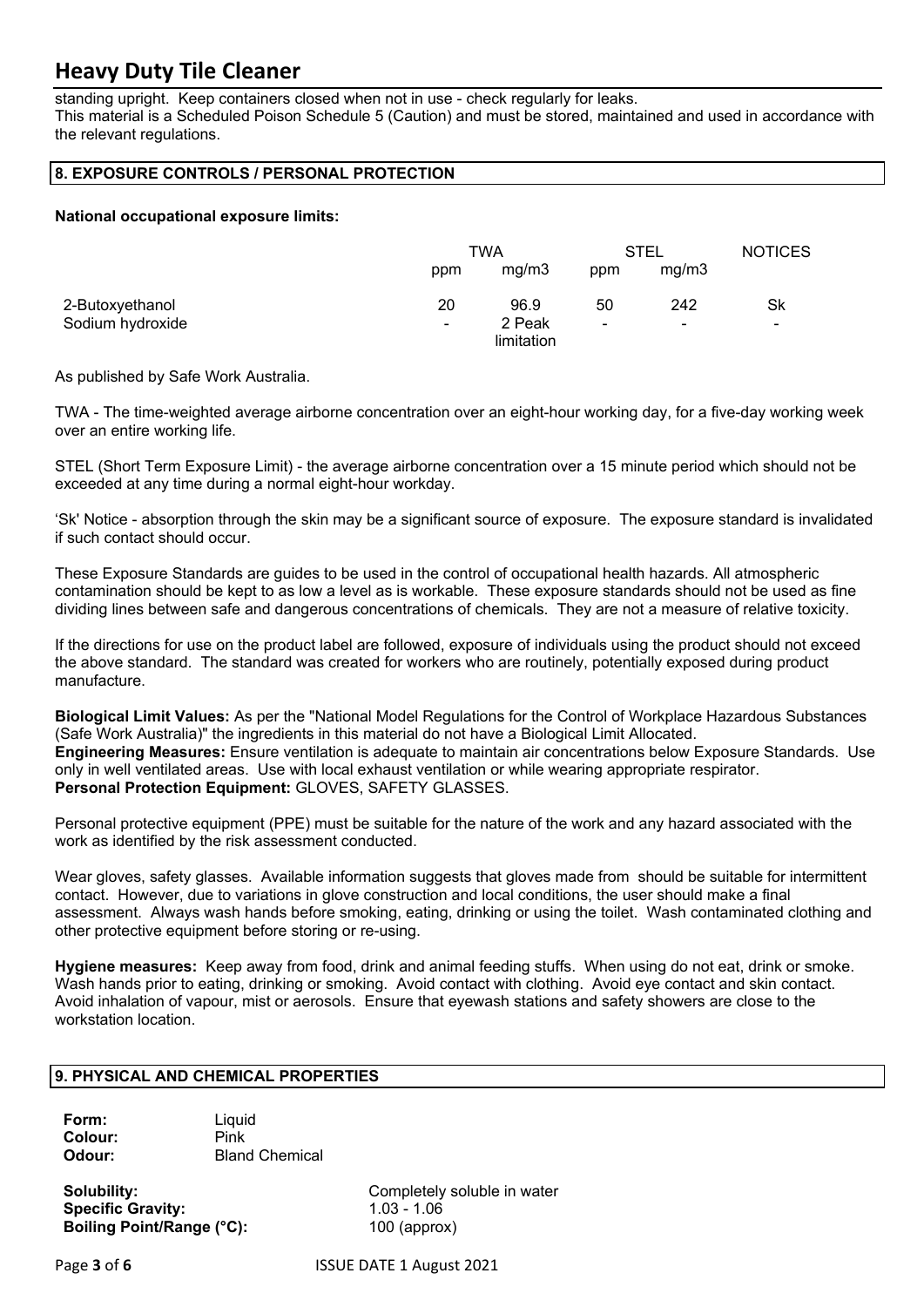standing upright. Keep containers closed when not in use - check regularly for leaks. This material is a Scheduled Poison Schedule 5 (Caution) and must be stored, maintained and used in accordance with the relevant regulations.

## **8. EXPOSURE CONTROLS / PERSONAL PROTECTION**

## **National occupational exposure limits:**

|                  | TWA            |                      | STEL                     |                | <b>NOTICES</b> |
|------------------|----------------|----------------------|--------------------------|----------------|----------------|
|                  | ppm            | mg/m3                | ppm                      | mg/m3          |                |
| 2-Butoxyethanol  | 20             | 96.9                 | 50                       | 242            | Sk             |
| Sodium hydroxide | $\blacksquare$ | 2 Peak<br>limitation | $\overline{\phantom{0}}$ | $\blacksquare$ | $\blacksquare$ |

As published by Safe Work Australia.

TWA - The time-weighted average airborne concentration over an eight-hour working day, for a five-day working week over an entire working life.

STEL (Short Term Exposure Limit) - the average airborne concentration over a 15 minute period which should not be exceeded at any time during a normal eight-hour workday.

'Sk' Notice - absorption through the skin may be a significant source of exposure. The exposure standard is invalidated if such contact should occur.

These Exposure Standards are guides to be used in the control of occupational health hazards. All atmospheric contamination should be kept to as low a level as is workable. These exposure standards should not be used as fine dividing lines between safe and dangerous concentrations of chemicals. They are not a measure of relative toxicity.

If the directions for use on the product label are followed, exposure of individuals using the product should not exceed the above standard. The standard was created for workers who are routinely, potentially exposed during product manufacture.

**Biological Limit Values:** As per the "National Model Regulations for the Control of Workplace Hazardous Substances (Safe Work Australia)" the ingredients in this material do not have a Biological Limit Allocated. **Engineering Measures:** Ensure ventilation is adequate to maintain air concentrations below Exposure Standards. Use only in well ventilated areas. Use with local exhaust ventilation or while wearing appropriate respirator. **Personal Protection Equipment:** GLOVES, SAFETY GLASSES.

Personal protective equipment (PPE) must be suitable for the nature of the work and any hazard associated with the work as identified by the risk assessment conducted.

Wear gloves, safety glasses. Available information suggests that gloves made from should be suitable for intermittent contact. However, due to variations in glove construction and local conditions, the user should make a final assessment. Always wash hands before smoking, eating, drinking or using the toilet. Wash contaminated clothing and other protective equipment before storing or re-using.

**Hygiene measures:** Keep away from food, drink and animal feeding stuffs. When using do not eat, drink or smoke. Wash hands prior to eating, drinking or smoking. Avoid contact with clothing. Avoid eye contact and skin contact. Avoid inhalation of vapour, mist or aerosols. Ensure that eyewash stations and safety showers are close to the workstation location.

## **9. PHYSICAL AND CHEMICAL PROPERTIES**

**Form:** Liquid **Colour:** Pink **Odour:** Bland Chemical

**Specific Gravity:** 1.03 - 1.06 **Boiling Point/Range (°C):** 100 (approx)

**Solubility:** Completely soluble in water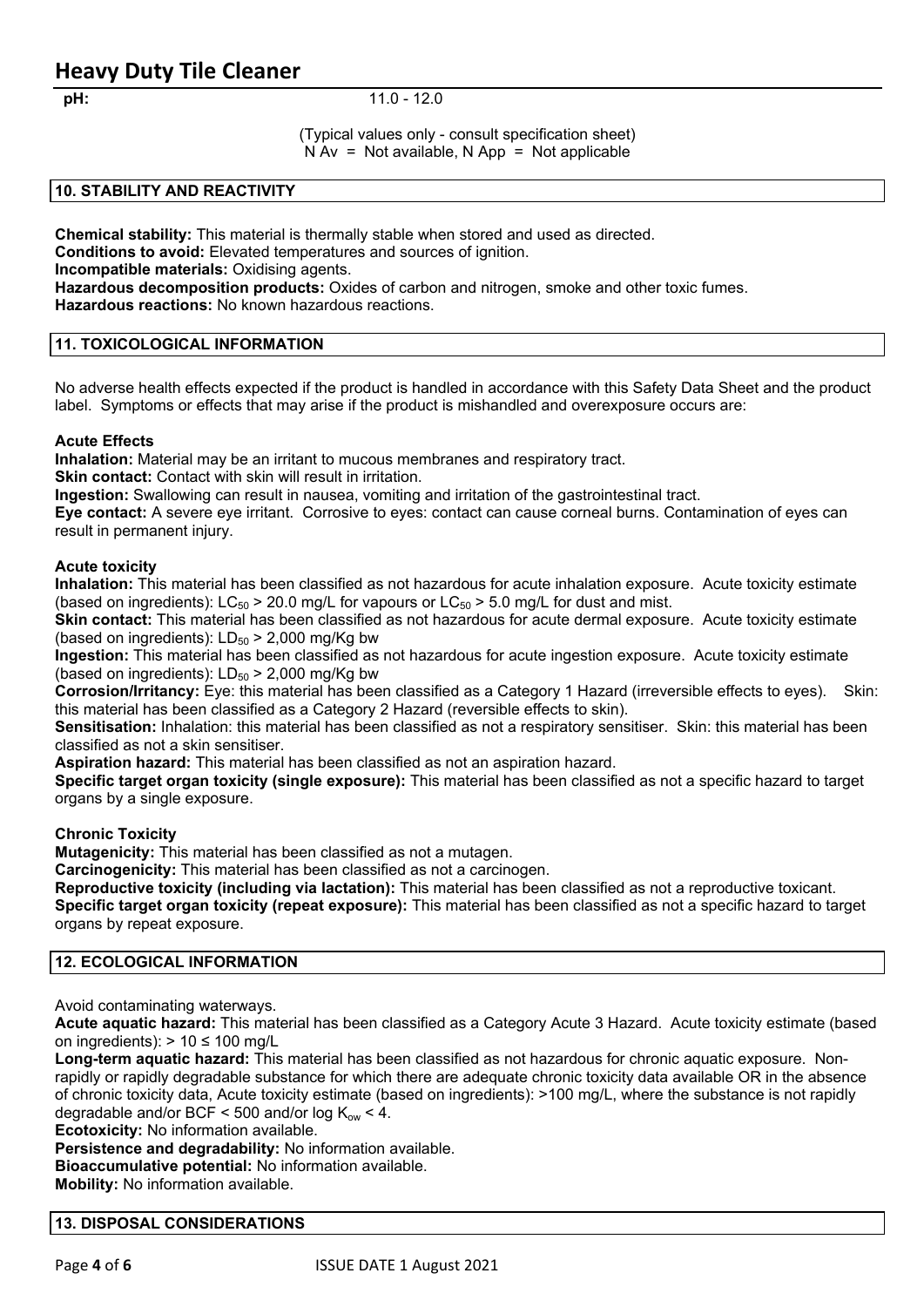#### **pH:** 11.0 - 12.0

(Typical values only - consult specification sheet)  $N Av = Not available$ ,  $N App = Not applicable$ 

### **10. STABILITY AND REACTIVITY**

**Chemical stability:** This material is thermally stable when stored and used as directed.

**Conditions to avoid:** Elevated temperatures and sources of ignition.

**Incompatible materials:** Oxidising agents.

**Hazardous decomposition products:** Oxides of carbon and nitrogen, smoke and other toxic fumes. **Hazardous reactions:** No known hazardous reactions.

## **11. TOXICOLOGICAL INFORMATION**

No adverse health effects expected if the product is handled in accordance with this Safety Data Sheet and the product label. Symptoms or effects that may arise if the product is mishandled and overexposure occurs are:

### **Acute Effects**

**Inhalation:** Material may be an irritant to mucous membranes and respiratory tract.

**Skin contact:** Contact with skin will result in irritation.

**Ingestion:** Swallowing can result in nausea, vomiting and irritation of the gastrointestinal tract.

**Eye contact:** A severe eye irritant. Corrosive to eyes: contact can cause corneal burns. Contamination of eyes can result in permanent injury.

#### **Acute toxicity**

**Inhalation:** This material has been classified as not hazardous for acute inhalation exposure. Acute toxicity estimate (based on ingredients):  $LC_{50}$  > 20.0 mg/L for vapours or  $LC_{50}$  > 5.0 mg/L for dust and mist.

**Skin contact:** This material has been classified as not hazardous for acute dermal exposure. Acute toxicity estimate (based on ingredients):  $LD_{50}$  > 2,000 mg/Kg bw

**Ingestion:** This material has been classified as not hazardous for acute ingestion exposure. Acute toxicity estimate (based on ingredients):  $LD_{50}$  > 2,000 mg/Kg bw

**Corrosion/Irritancy:** Eye: this material has been classified as a Category 1 Hazard (irreversible effects to eyes). Skin: this material has been classified as a Category 2 Hazard (reversible effects to skin).

**Sensitisation:** Inhalation: this material has been classified as not a respiratory sensitiser. Skin: this material has been classified as not a skin sensitiser.

**Aspiration hazard:** This material has been classified as not an aspiration hazard.

**Specific target organ toxicity (single exposure):** This material has been classified as not a specific hazard to target organs by a single exposure.

#### **Chronic Toxicity**

**Mutagenicity:** This material has been classified as not a mutagen.

**Carcinogenicity:** This material has been classified as not a carcinogen.

**Reproductive toxicity (including via lactation):** This material has been classified as not a reproductive toxicant. **Specific target organ toxicity (repeat exposure):** This material has been classified as not a specific hazard to target organs by repeat exposure.

## **12. ECOLOGICAL INFORMATION**

Avoid contaminating waterways.

**Acute aquatic hazard:** This material has been classified as a Category Acute 3 Hazard. Acute toxicity estimate (based on ingredients):  $> 10 \le 100$  mg/L

**Long-term aquatic hazard:** This material has been classified as not hazardous for chronic aquatic exposure. Nonrapidly or rapidly degradable substance for which there are adequate chronic toxicity data available OR in the absence of chronic toxicity data, Acute toxicity estimate (based on ingredients): >100 mg/L, where the substance is not rapidly degradable and/or BCF < 500 and/or log  $K_{\text{ow}}$  < 4.

**Ecotoxicity:** No information available.

**Persistence and degradability:** No information available.

**Bioaccumulative potential:** No information available.

**Mobility:** No information available.

#### **13. DISPOSAL CONSIDERATIONS**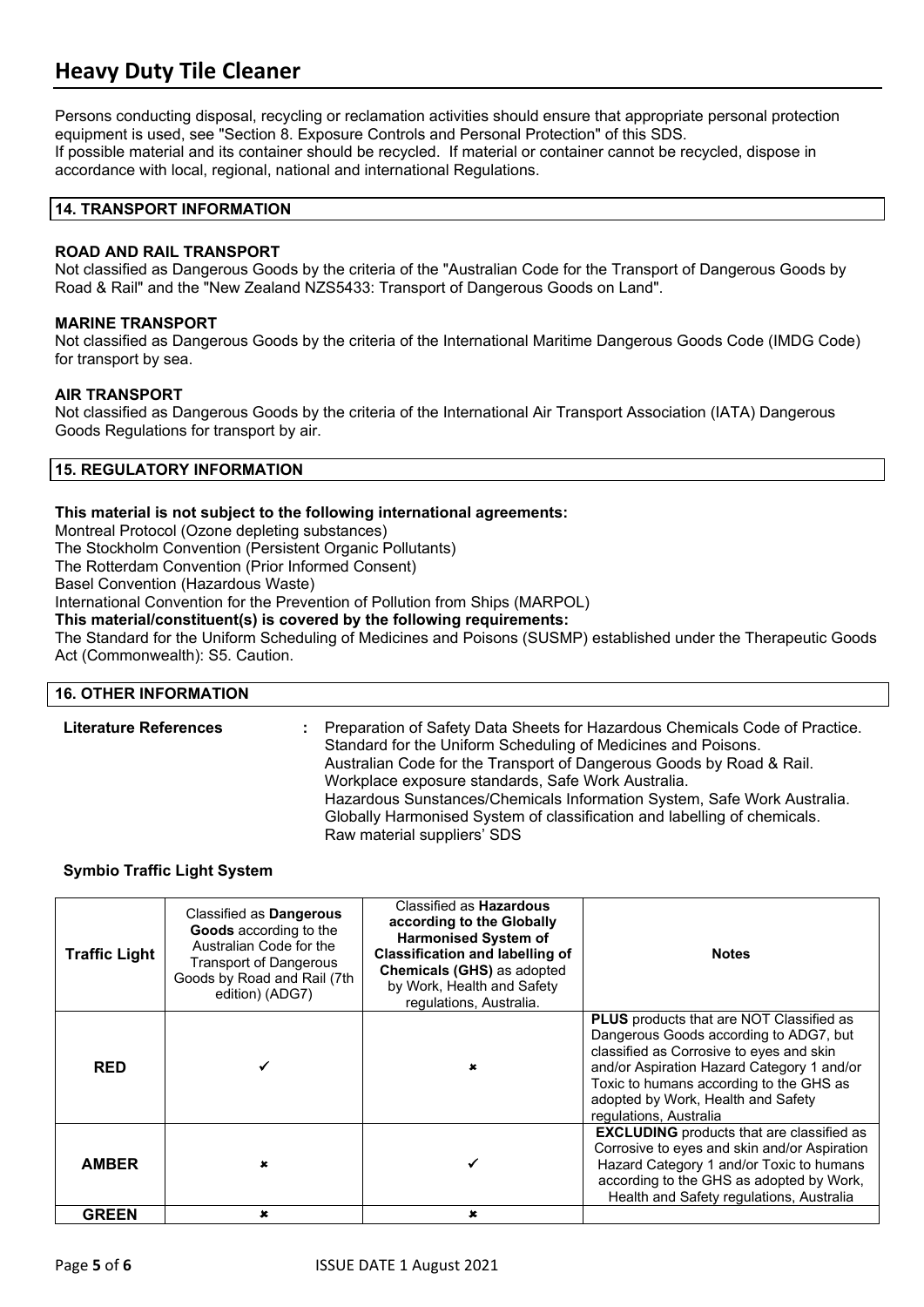Persons conducting disposal, recycling or reclamation activities should ensure that appropriate personal protection equipment is used, see "Section 8. Exposure Controls and Personal Protection" of this SDS. If possible material and its container should be recycled. If material or container cannot be recycled, dispose in accordance with local, regional, national and international Regulations.

### **14. TRANSPORT INFORMATION**

### **ROAD AND RAIL TRANSPORT**

Not classified as Dangerous Goods by the criteria of the "Australian Code for the Transport of Dangerous Goods by Road & Rail" and the "New Zealand NZS5433: Transport of Dangerous Goods on Land".

#### **MARINE TRANSPORT**

Not classified as Dangerous Goods by the criteria of the International Maritime Dangerous Goods Code (IMDG Code) for transport by sea.

### **AIR TRANSPORT**

Not classified as Dangerous Goods by the criteria of the International Air Transport Association (IATA) Dangerous Goods Regulations for transport by air.

### **15. REGULATORY INFORMATION**

### **This material is not subject to the following international agreements:**

Montreal Protocol (Ozone depleting substances)

The Stockholm Convention (Persistent Organic Pollutants)

The Rotterdam Convention (Prior Informed Consent)

Basel Convention (Hazardous Waste)

International Convention for the Prevention of Pollution from Ships (MARPOL)

**This material/constituent(s) is covered by the following requirements:**

The Standard for the Uniform Scheduling of Medicines and Poisons (SUSMP) established under the Therapeutic Goods Act (Commonwealth): S5. Caution.

#### **16. OTHER INFORMATION**

| <b>Literature References</b> | : Preparation of Safety Data Sheets for Hazardous Chemicals Code of Practice.<br>Standard for the Uniform Scheduling of Medicines and Poisons.<br>Australian Code for the Transport of Dangerous Goods by Road & Rail.<br>Workplace exposure standards, Safe Work Australia.<br>Hazardous Sunstances/Chemicals Information System, Safe Work Australia.<br>Globally Harmonised System of classification and labelling of chemicals.<br>Raw material suppliers' SDS |
|------------------------------|--------------------------------------------------------------------------------------------------------------------------------------------------------------------------------------------------------------------------------------------------------------------------------------------------------------------------------------------------------------------------------------------------------------------------------------------------------------------|
|------------------------------|--------------------------------------------------------------------------------------------------------------------------------------------------------------------------------------------------------------------------------------------------------------------------------------------------------------------------------------------------------------------------------------------------------------------------------------------------------------------|

#### **Symbio Traffic Light System**

| <b>Traffic Light</b> | Classified as Dangerous<br>Goods according to the<br>Australian Code for the<br><b>Transport of Dangerous</b><br>Goods by Road and Rail (7th<br>edition) (ADG7) | Classified as <b>Hazardous</b><br>according to the Globally<br><b>Harmonised System of</b><br><b>Classification and labelling of</b><br><b>Chemicals (GHS) as adopted</b><br>by Work, Health and Safety<br>regulations, Australia. | <b>Notes</b>                                                                                                                                                                                                                                                                                   |
|----------------------|-----------------------------------------------------------------------------------------------------------------------------------------------------------------|------------------------------------------------------------------------------------------------------------------------------------------------------------------------------------------------------------------------------------|------------------------------------------------------------------------------------------------------------------------------------------------------------------------------------------------------------------------------------------------------------------------------------------------|
| <b>RED</b>           |                                                                                                                                                                 |                                                                                                                                                                                                                                    | <b>PLUS</b> products that are NOT Classified as<br>Dangerous Goods according to ADG7, but<br>classified as Corrosive to eyes and skin<br>and/or Aspiration Hazard Category 1 and/or<br>Toxic to humans according to the GHS as<br>adopted by Work, Health and Safety<br>regulations, Australia |
| <b>AMBER</b>         | ×                                                                                                                                                               |                                                                                                                                                                                                                                    | <b>EXCLUDING</b> products that are classified as<br>Corrosive to eyes and skin and/or Aspiration<br>Hazard Category 1 and/or Toxic to humans<br>according to the GHS as adopted by Work,<br>Health and Safety regulations, Australia                                                           |
| <b>GREEN</b>         | ×                                                                                                                                                               | x                                                                                                                                                                                                                                  |                                                                                                                                                                                                                                                                                                |